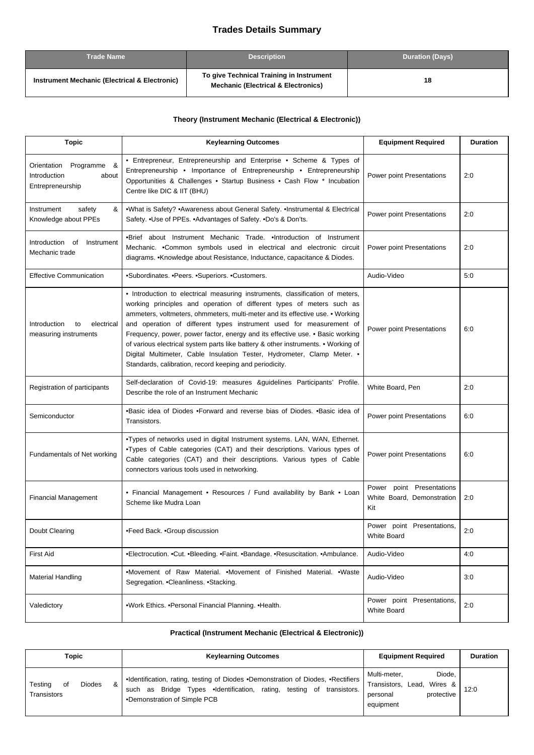## **Trades Details Summary**

| <b>Trade Name</b>                                        | <b>Description</b>                                                                         | <b>Duration (Days)</b> |
|----------------------------------------------------------|--------------------------------------------------------------------------------------------|------------------------|
| <b>Instrument Mechanic (Electrical &amp; Electronic)</b> | To give Technical Training in Instrument<br><b>Mechanic (Electrical &amp; Electronics)</b> | 18                     |

## **Theory (Instrument Mechanic (Electrical & Electronic))**

| <b>Topic</b>                                                         | <b>Keylearning Outcomes</b>                                                                                                                                                                                                                                                                                                                                                                                                                                                                                                                                                                                                | <b>Equipment Required</b>                                      | <b>Duration</b> |
|----------------------------------------------------------------------|----------------------------------------------------------------------------------------------------------------------------------------------------------------------------------------------------------------------------------------------------------------------------------------------------------------------------------------------------------------------------------------------------------------------------------------------------------------------------------------------------------------------------------------------------------------------------------------------------------------------------|----------------------------------------------------------------|-----------------|
| Orientation Programme &<br>Introduction<br>about<br>Entrepreneurship | • Entrepreneur, Entrepreneurship and Enterprise • Scheme & Types of<br>Entrepreneurship • Importance of Entrepreneurship • Entrepreneurship<br>Opportunities & Challenges • Startup Business • Cash Flow * Incubation<br>Centre like DIC & IIT (BHU)                                                                                                                                                                                                                                                                                                                                                                       | Power point Presentations                                      | 2:0             |
| Instrument<br>safety<br>&<br>Knowledge about PPEs                    | •What is Safety? •Awareness about General Safety. •Instrumental & Electrical<br>Safety. . Use of PPEs. . Advantages of Safety. . Do's & Don'ts.                                                                                                                                                                                                                                                                                                                                                                                                                                                                            | Power point Presentations                                      | 2:0             |
| Introduction of<br>Instrument<br>Mechanic trade                      | •Brief about Instrument Mechanic Trade. •Introduction of Instrument<br>Mechanic. • Common symbols used in electrical and electronic circuit<br>diagrams. • Knowledge about Resistance, Inductance, capacitance & Diodes.                                                                                                                                                                                                                                                                                                                                                                                                   | Power point Presentations                                      | 2:0             |
| <b>Effective Communication</b>                                       | •Subordinates. •Peers. •Superiors. •Customers.                                                                                                                                                                                                                                                                                                                                                                                                                                                                                                                                                                             | Audio-Video                                                    | 5:0             |
| Introduction<br>to<br>electrical<br>measuring instruments            | • Introduction to electrical measuring instruments, classification of meters,<br>working principles and operation of different types of meters such as<br>ammeters, voltmeters, ohmmeters, multi-meter and its effective use. • Working<br>and operation of different types instrument used for measurement of<br>Frequency, power, power factor, energy and its effective use. • Basic working<br>of various electrical system parts like battery & other instruments. • Working of<br>Digital Multimeter, Cable Insulation Tester, Hydrometer, Clamp Meter. •<br>Standards, calibration, record keeping and periodicity. | Power point Presentations                                      | 6:0             |
| Registration of participants                                         | Self-declaration of Covid-19: measures & guidelines Participants' Profile.<br>Describe the role of an Instrument Mechanic                                                                                                                                                                                                                                                                                                                                                                                                                                                                                                  | White Board, Pen                                               | 2:0             |
| Semiconductor                                                        | •Basic idea of Diodes •Forward and reverse bias of Diodes. •Basic idea of<br>Transistors.                                                                                                                                                                                                                                                                                                                                                                                                                                                                                                                                  | Power point Presentations                                      | 6:0             |
| Fundamentals of Net working                                          | . Types of networks used in digital Instrument systems. LAN, WAN, Ethernet.<br>.Types of Cable categories (CAT) and their descriptions. Various types of<br>Cable categories (CAT) and their descriptions. Various types of Cable<br>connectors various tools used in networking.                                                                                                                                                                                                                                                                                                                                          | Power point Presentations                                      | 6:0             |
| <b>Financial Management</b>                                          | • Financial Management • Resources / Fund availability by Bank • Loan<br>Scheme like Mudra Loan                                                                                                                                                                                                                                                                                                                                                                                                                                                                                                                            | Power point Presentations<br>White Board, Demonstration<br>Kit | 2:0             |
| Doubt Clearing                                                       | •Feed Back. • Group discussion                                                                                                                                                                                                                                                                                                                                                                                                                                                                                                                                                                                             | Power point Presentations,<br>White Board                      | 2:0             |
| First Aid                                                            | •Electrocution. •Cut. •Bleeding. •Faint. •Bandage. •Resuscitation. •Ambulance.                                                                                                                                                                                                                                                                                                                                                                                                                                                                                                                                             | Audio-Video                                                    | 4:0             |
| <b>Material Handling</b>                                             | .Movement of Raw Material. .Movement of Finished Material. .Waste<br>Segregation. . Cleanliness. . Stacking.                                                                                                                                                                                                                                                                                                                                                                                                                                                                                                               | Audio-Video                                                    | 3:0             |
| Valedictory                                                          | .Work Ethics. . Personal Financial Planning. . Health.                                                                                                                                                                                                                                                                                                                                                                                                                                                                                                                                                                     | Power point Presentations,<br><b>White Board</b>               | 2:0             |

## **Practical (Instrument Mechanic (Electrical & Electronic))**

| Topic                                              | <b>Keylearning Outcomes</b>                                                                                                                                                                        | <b>Equipment Required</b>                                                                         | <b>Duration</b> |
|----------------------------------------------------|----------------------------------------------------------------------------------------------------------------------------------------------------------------------------------------------------|---------------------------------------------------------------------------------------------------|-----------------|
| <b>Diodes</b><br>Testing<br>&<br>οf<br>Transistors | •Identification, rating, testing of Diodes •Demonstration of Diodes, •Rectifiers<br>Bridge Types .Identification, rating, testing of<br>transistors.<br>as<br>such<br>•Demonstration of Simple PCB | Multi-meter.<br>Diode,<br>Lead,<br>Wires &<br>Transistors,<br>protective<br>personal<br>equipment | 12:0            |